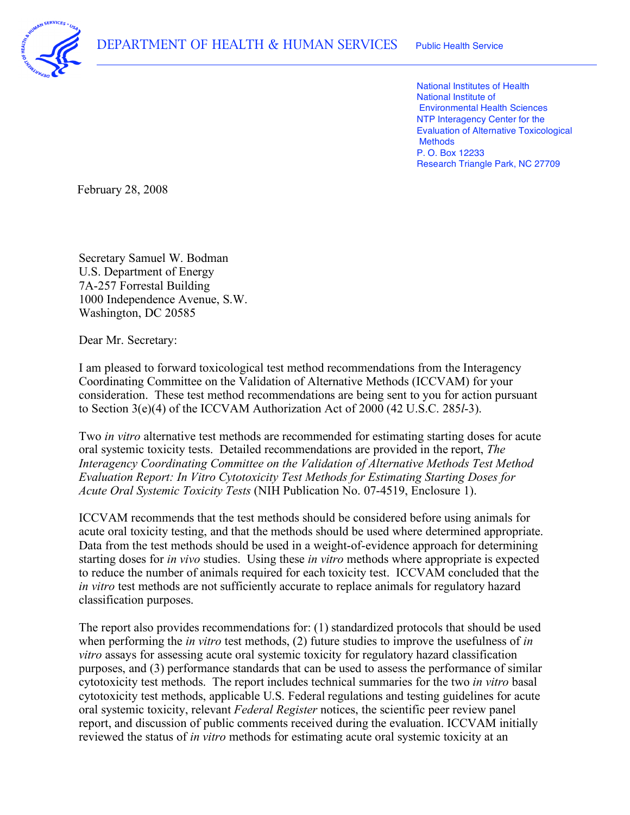

 National Institutes of Health National Institute of Environmental Health Sciences NTP Interagency Center for the Evaluation of Alternative Toxicological P. O. Box 12233 Research Triangle Park, NC 27709 **Methods** 

February 28, 2008

 Secretary Samuel W. Bodman U.S. Department of Energy 1000 Independence Avenue, S.W. Washington, DC 20585 7A-257 Forrestal Building

Dear Mr. Secretary:

 I am pleased to forward toxicological test method recommendations from the Interagency Coordinating Committee on the Validation of Alternative Methods (ICCVAM) for your consideration. These test method recommendations are being sent to you for action pursuant to Section 3(e)(4) of the ICCVAM Authorization Act of 2000 (42 U.S.C. 285*l*-3).

 Two *in vitro* alternative test methods are recommended for estimating starting doses for acute oral systemic toxicity tests. Detailed recommendations are provided in the report, *The Interagency Coordinating Committee on the Validation of Alternative Methods Test Method Evaluation Report: In Vitro Cytotoxicity Test Methods for Estimating Starting Doses for Acute Oral Systemic Toxicity Tests* (NIH Publication No. 07-4519, Enclosure 1).

 ICCVAM recommends that the test methods should be considered before using animals for acute oral toxicity testing, and that the methods should be used where determined appropriate. Data from the test methods should be used in a weight-of-evidence approach for determining starting doses for *in vivo* studies. Using these *in vitro* methods where appropriate is expected to reduce the number of animals required for each toxicity test. ICCVAM concluded that the *in vitro* test methods are not sufficiently accurate to replace animals for regulatory hazard classification purposes.

 The report also provides recommendations for: (1) standardized protocols that should be used when performing the *in vitro* test methods, (2) future studies to improve the usefulness of *in vitro* assays for assessing acute oral systemic toxicity for regulatory hazard classification purposes, and (3) performance standards that can be used to assess the performance of similar cytotoxicity test methods. The report includes technical summaries for the two *in vitro* basal cytotoxicity test methods, applicable U.S. Federal regulations and testing guidelines for acute oral systemic toxicity, relevant *Federal Register* notices, the scientific peer review panel report, and discussion of public comments received during the evaluation. ICCVAM initially reviewed the status of *in vitro* methods for estimating acute oral systemic toxicity at an